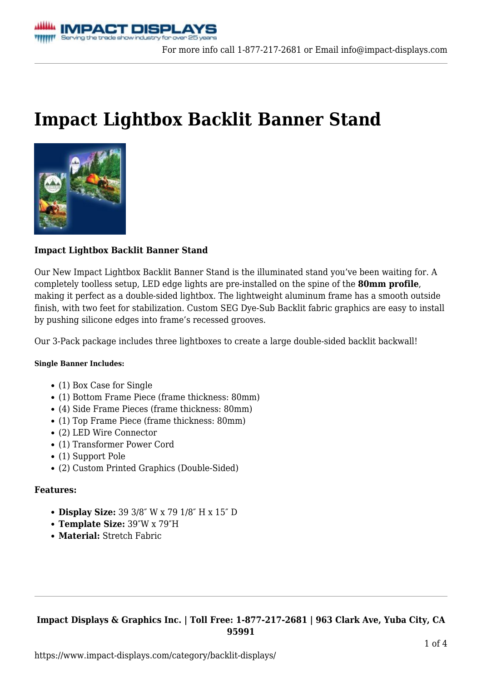## **[Impact Lightbox Backlit Banner Stand](https://www.impact-displays.com/product/impact-lightbox-backlit-banner-stand/)**



#### **Impact Lightbox Backlit Banner Stand**

Our New Impact Lightbox Backlit Banner Stand is the illuminated stand you've been waiting for. A completely toolless setup, LED edge lights are pre-installed on the spine of the **80mm profile**, making it perfect as a double-sided lightbox. The lightweight aluminum frame has a smooth outside finish, with two feet for stabilization. Custom SEG Dye-Sub Backlit fabric graphics are easy to install by pushing silicone edges into frame's recessed grooves.

Our 3-Pack package includes three lightboxes to create a large double-sided backlit backwall!

#### **Single Banner Includes:**

- (1) Box Case for Single
- (1) Bottom Frame Piece (frame thickness: 80mm)
- (4) Side Frame Pieces (frame thickness: 80mm)
- (1) Top Frame Piece (frame thickness: 80mm)
- (2) LED Wire Connector
- (1) Transformer Power Cord
- (1) Support Pole
- (2) Custom Printed Graphics (Double-Sided)

#### **Features:**

- **Display Size:** 39 3/8″ W x 79 1/8″ H x 15″ D
- **Template Size:** 39″W x 79″H
- **Material:** Stretch Fabric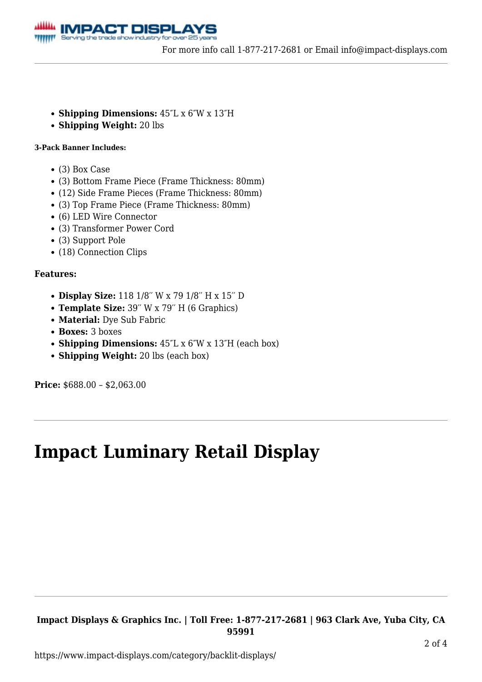

- **Shipping Dimensions:** 45″L x 6″W x 13″H
- **Shipping Weight:** 20 lbs

#### **3-Pack Banner Includes:**

- (3) Box Case
- (3) Bottom Frame Piece (Frame Thickness: 80mm)
- (12) Side Frame Pieces (Frame Thickness: 80mm)
- (3) Top Frame Piece (Frame Thickness: 80mm)
- (6) LED Wire Connector
- (3) Transformer Power Cord
- (3) Support Pole
- (18) Connection Clips

#### **Features:**

- **Display Size:** 118 1/8′′ W x 79 1/8′′ H x 15′′ D
- **Template Size:** 39′′ W x 79′′ H (6 Graphics)
- **Material:** Dye Sub Fabric
- **Boxes:** 3 boxes
- **Shipping Dimensions:** 45″L x 6″W x 13″H (each box)
- **Shipping Weight:** 20 lbs (each box)

**Price:** \$688.00 – \$2,063.00

## **[Impact Luminary Retail Display](https://www.impact-displays.com/product/impact-luminary-retail-display/)**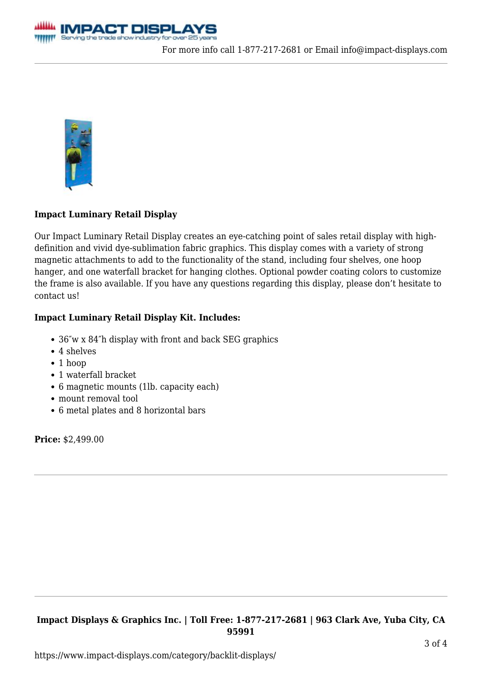



## **Impact Luminary Retail Display**

Our Impact Luminary Retail Display creates an eye-catching point of sales retail display with highdefinition and vivid dye-sublimation fabric graphics. This display comes with a variety of strong magnetic attachments to add to the functionality of the stand, including four shelves, one hoop hanger, and one waterfall bracket for hanging clothes. Optional powder coating colors to customize the frame is also available. If you have any questions regarding this display, please don't hesitate to [contact us!](https://www.impact-displays.com/contact-us/)

#### **Impact Luminary Retail Display Kit. Includes:**

- 36″w x 84″h display with front and back SEG graphics
- 4 shelves
- 1 hoop
- 1 waterfall bracket
- 6 magnetic mounts (1lb. capacity each)
- mount removal tool
- 6 metal plates and 8 horizontal bars

**Price:** \$2,499.00